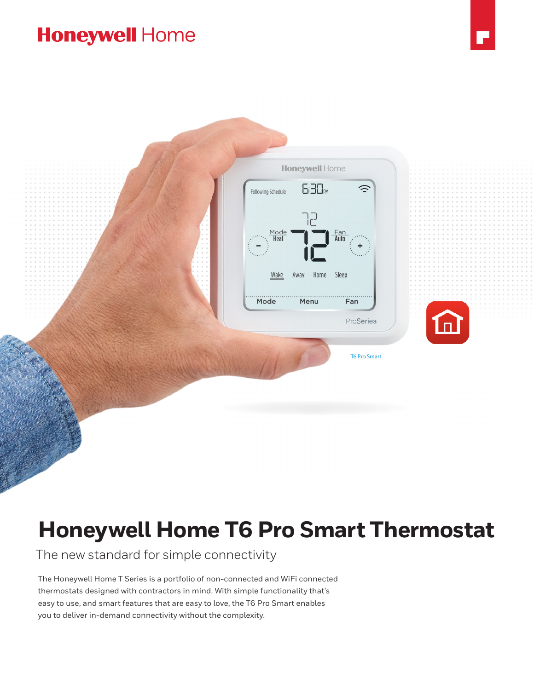## **Honeywell Home**



# **Honeywell Home T6 Pro Smart Thermostat**

The new standard for simple connectivity

The Honeywell Home T Series is a portfolio of non-connected and WiFi connected thermostats designed with contractors in mind. With simple functionality that's easy to use, and smart features that are easy to love, the T6 Pro Smart enables you to deliver in-demand connectivity without the complexity.